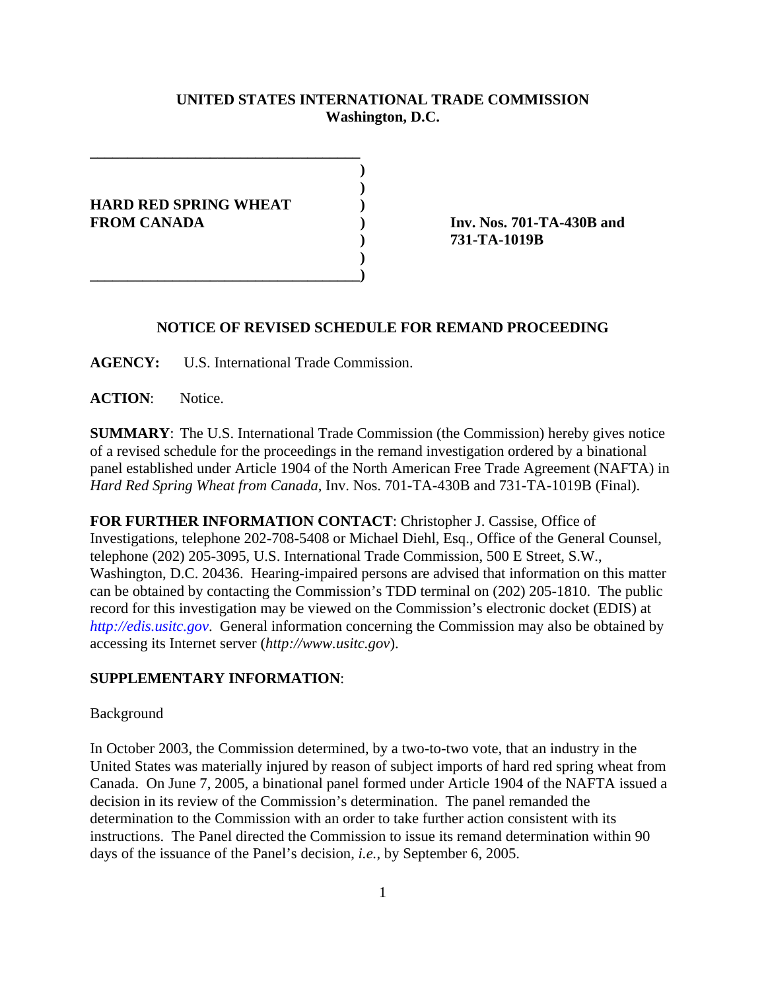# **UNITED STATES INTERNATIONAL TRADE COMMISSION Washington, D.C.**

**) ) HARD RED SPRING WHEAT ) FROM CANADA ) Inv. Nos. 701-TA-430B and )**

**\_\_\_\_\_\_\_\_\_\_\_\_\_\_\_\_\_\_\_\_\_\_\_\_\_\_\_\_\_\_\_\_\_\_\_\_)**

**\_\_\_\_\_\_\_\_\_\_\_\_\_\_\_\_\_\_\_\_\_\_\_\_\_\_\_\_\_\_\_\_\_\_\_\_**

**) 731-TA-1019B**

## **NOTICE OF REVISED SCHEDULE FOR REMAND PROCEEDING**

**AGENCY:** U.S. International Trade Commission.

**ACTION**: Notice.

**SUMMARY**: The U.S. International Trade Commission (the Commission) hereby gives notice of a revised schedule for the proceedings in the remand investigation ordered by a binational panel established under Article 1904 of the North American Free Trade Agreement (NAFTA) in *Hard Red Spring Wheat from Canada*, Inv. Nos. 701-TA-430B and 731-TA-1019B (Final).

**FOR FURTHER INFORMATION CONTACT**: Christopher J. Cassise, Office of Investigations, telephone 202-708-5408 or Michael Diehl, Esq., Office of the General Counsel, telephone (202) 205-3095, U.S. International Trade Commission, 500 E Street, S.W., Washington, D.C. 20436. Hearing-impaired persons are advised that information on this matter can be obtained by contacting the Commission's TDD terminal on (202) 205-1810. The public record for this investigation may be viewed on the Commission's electronic docket (EDIS) at *http://edis.usitc.gov*. General information concerning the Commission may also be obtained by accessing its Internet server (*http://www.usitc.gov*).

### **SUPPLEMENTARY INFORMATION**:

#### Background

In October 2003, the Commission determined, by a two-to-two vote, that an industry in the United States was materially injured by reason of subject imports of hard red spring wheat from Canada. On June 7, 2005, a binational panel formed under Article 1904 of the NAFTA issued a decision in its review of the Commission's determination. The panel remanded the determination to the Commission with an order to take further action consistent with its instructions. The Panel directed the Commission to issue its remand determination within 90 days of the issuance of the Panel's decision, *i.e.*, by September 6, 2005.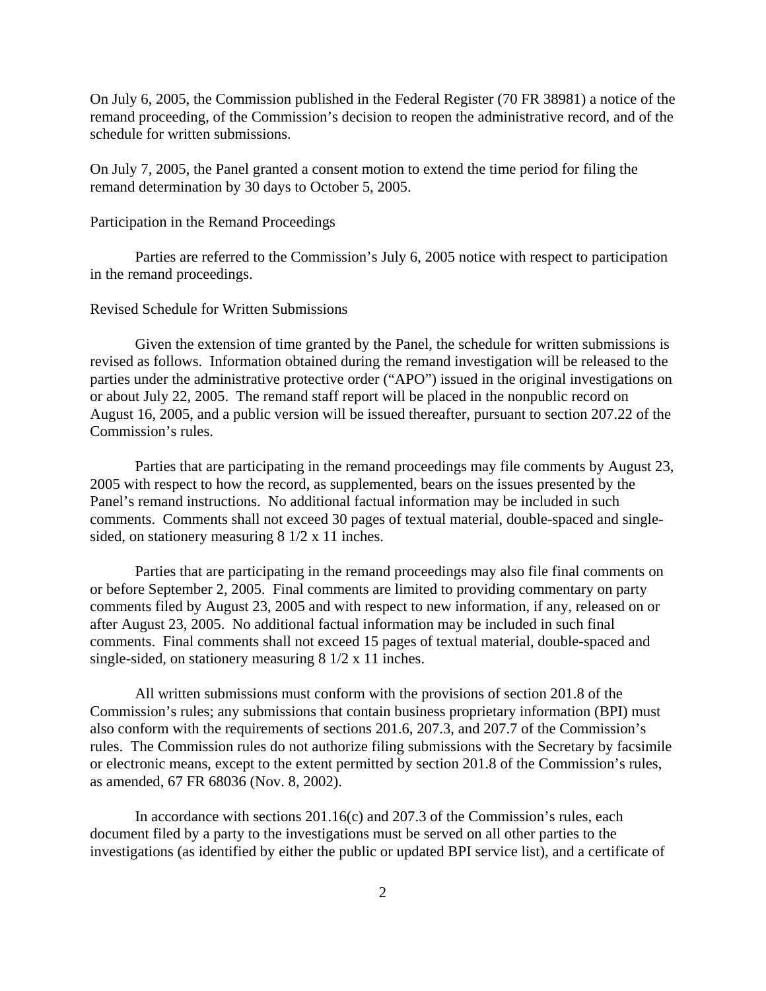On July 6, 2005, the Commission published in the Federal Register (70 FR 38981) a notice of the remand proceeding, of the Commission's decision to reopen the administrative record, and of the schedule for written submissions.

On July 7, 2005, the Panel granted a consent motion to extend the time period for filing the remand determination by 30 days to October 5, 2005.

### Participation in the Remand Proceedings

Parties are referred to the Commission's July 6, 2005 notice with respect to participation in the remand proceedings.

## Revised Schedule for Written Submissions

Given the extension of time granted by the Panel, the schedule for written submissions is revised as follows. Information obtained during the remand investigation will be released to the parties under the administrative protective order ("APO") issued in the original investigations on or about July 22, 2005. The remand staff report will be placed in the nonpublic record on August 16, 2005, and a public version will be issued thereafter, pursuant to section 207.22 of the Commission's rules.

Parties that are participating in the remand proceedings may file comments by August 23, 2005 with respect to how the record, as supplemented, bears on the issues presented by the Panel's remand instructions. No additional factual information may be included in such comments. Comments shall not exceed 30 pages of textual material, double-spaced and singlesided, on stationery measuring 8 1/2 x 11 inches.

Parties that are participating in the remand proceedings may also file final comments on or before September 2, 2005. Final comments are limited to providing commentary on party comments filed by August 23, 2005 and with respect to new information, if any, released on or after August 23, 2005. No additional factual information may be included in such final comments. Final comments shall not exceed 15 pages of textual material, double-spaced and single-sided, on stationery measuring 8 1/2 x 11 inches.

All written submissions must conform with the provisions of section 201.8 of the Commission's rules; any submissions that contain business proprietary information (BPI) must also conform with the requirements of sections 201.6, 207.3, and 207.7 of the Commission's rules. The Commission rules do not authorize filing submissions with the Secretary by facsimile or electronic means, except to the extent permitted by section 201.8 of the Commission's rules, as amended, 67 FR 68036 (Nov. 8, 2002).

In accordance with sections 201.16(c) and 207.3 of the Commission's rules, each document filed by a party to the investigations must be served on all other parties to the investigations (as identified by either the public or updated BPI service list), and a certificate of